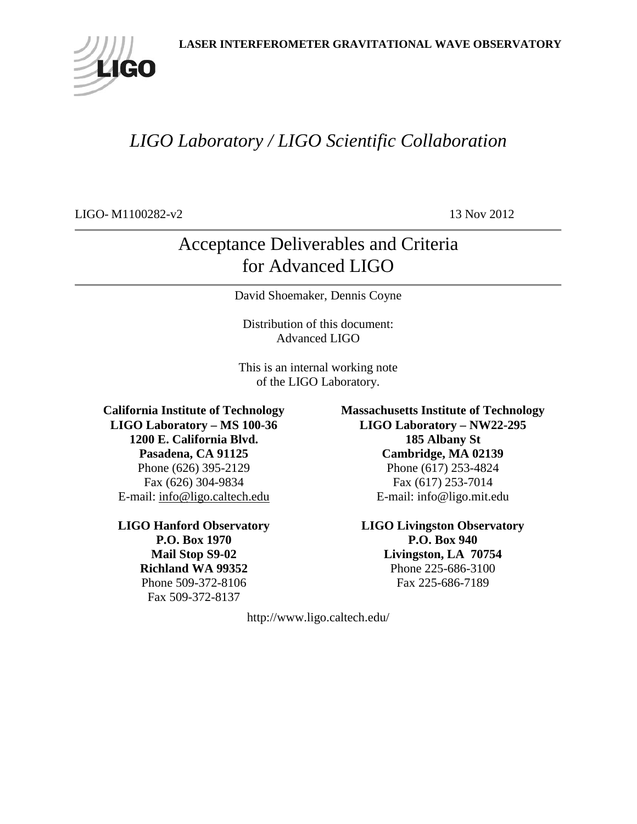

# *LIGO Laboratory / LIGO Scientific Collaboration*

LIGO- M1100282-v2 13 Nov 2012

# Acceptance Deliverables and Criteria for Advanced LIGO

David Shoemaker, Dennis Coyne

Distribution of this document: Advanced LIGO

This is an internal working note of the LIGO Laboratory.

**California Institute of Technology LIGO Laboratory – MS 100-36 1200 E. California Blvd. Pasadena, CA 91125** Phone (626) 395-2129 Fax (626) 304-9834 E-mail: [info@ligo.caltech.edu](mailto:info@ligo.caltech.edu)

**LIGO Hanford Observatory P.O. Box 1970 Mail Stop S9-02 Richland WA 99352** Phone 509-372-8106 Fax 509-372-8137

**Massachusetts Institute of Technology LIGO Laboratory – NW22-295 185 Albany St Cambridge, MA 02139** Phone (617) 253-4824 Fax (617) 253-7014 E-mail: info@ligo.mit.edu

**LIGO Livingston Observatory P.O. Box 940 Livingston, LA 70754** Phone 225-686-3100 Fax 225-686-7189

http://www.ligo.caltech.edu/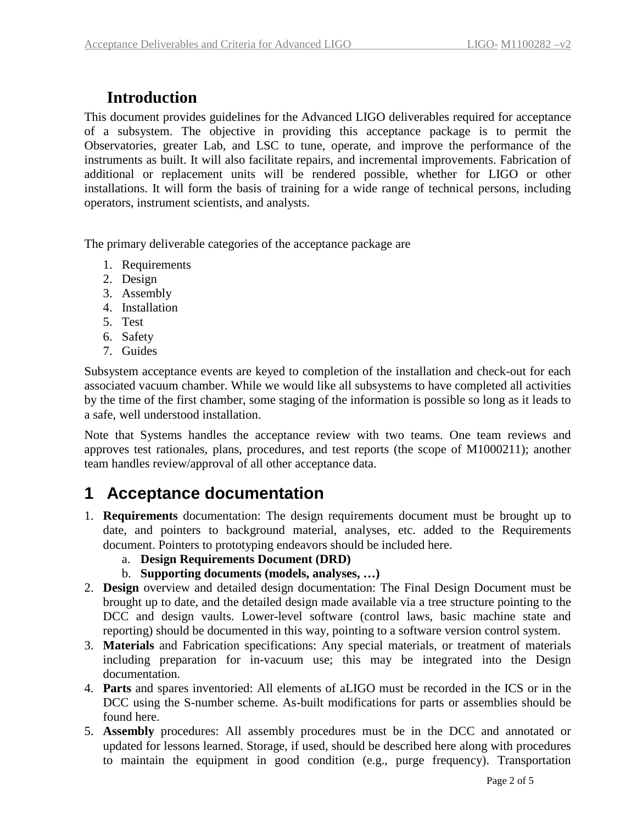#### **Introduction**

This document provides guidelines for the Advanced LIGO deliverables required for acceptance of a subsystem. The objective in providing this acceptance package is to permit the Observatories, greater Lab, and LSC to tune, operate, and improve the performance of the instruments as built. It will also facilitate repairs, and incremental improvements. Fabrication of additional or replacement units will be rendered possible, whether for LIGO or other installations. It will form the basis of training for a wide range of technical persons, including operators, instrument scientists, and analysts.

The primary deliverable categories of the acceptance package are

- 1. Requirements
- 2. Design
- 3. Assembly
- 4. Installation
- 5. Test
- 6. Safety
- 7. Guides

Subsystem acceptance events are keyed to completion of the installation and check-out for each associated vacuum chamber. While we would like all subsystems to have completed all activities by the time of the first chamber, some staging of the information is possible so long as it leads to a safe, well understood installation.

Note that Systems handles the acceptance review with two teams. One team reviews and approves test rationales, plans, procedures, and test reports (the scope of M1000211); another team handles review/approval of all other acceptance data.

## **1 Acceptance documentation**

- 1. **Requirements** documentation: The design requirements document must be brought up to date, and pointers to background material, analyses, etc. added to the Requirements document. Pointers to prototyping endeavors should be included here.
	- a. **Design Requirements Document (DRD)**
	- b. **Supporting documents (models, analyses, …)**
- 2. **Design** overview and detailed design documentation: The Final Design Document must be brought up to date, and the detailed design made available via a tree structure pointing to the DCC and design vaults. Lower-level software (control laws, basic machine state and reporting) should be documented in this way, pointing to a software version control system.
- 3. **Materials** and Fabrication specifications: Any special materials, or treatment of materials including preparation for in-vacuum use; this may be integrated into the Design documentation.
- 4. **Parts** and spares inventoried: All elements of aLIGO must be recorded in the ICS or in the DCC using the S-number scheme. As-built modifications for parts or assemblies should be found here.
- 5. **Assembly** procedures: All assembly procedures must be in the DCC and annotated or updated for lessons learned. Storage, if used, should be described here along with procedures to maintain the equipment in good condition (e.g., purge frequency). Transportation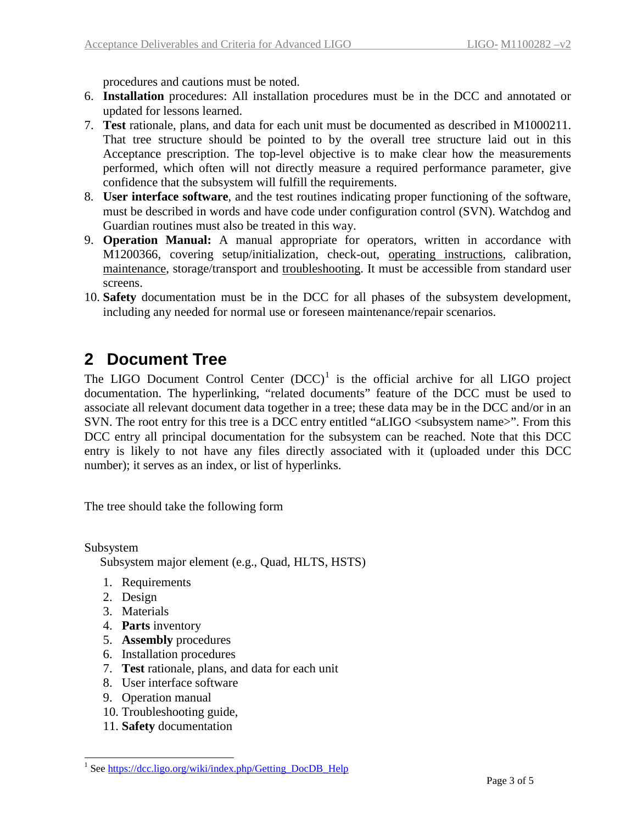procedures and cautions must be noted.

- 6. **Installation** procedures: All installation procedures must be in the DCC and annotated or updated for lessons learned.
- 7. **Test** rationale, plans, and data for each unit must be documented as described in M1000211. That tree structure should be pointed to by the overall tree structure laid out in this Acceptance prescription. The top-level objective is to make clear how the measurements performed, which often will not directly measure a required performance parameter, give confidence that the subsystem will fulfill the requirements.
- 8. **User interface software**, and the test routines indicating proper functioning of the software, must be described in words and have code under configuration control (SVN). Watchdog and Guardian routines must also be treated in this way.
- 9. **Operation Manual:** A manual appropriate for operators, written in accordance with M1200366, covering setup/initialization, check-out, operating instructions, calibration, maintenance, storage/transport and troubleshooting. It must be accessible from standard user screens.
- 10. **Safety** documentation must be in the DCC for all phases of the subsystem development, including any needed for normal use or foreseen maintenance/repair scenarios.

## **2 Document Tree**

The LIGO Document Control Center  $(DCC)^1$  $(DCC)^1$  is the official archive for all LIGO project documentation. The hyperlinking, "related documents" feature of the DCC must be used to associate all relevant document data together in a tree; these data may be in the DCC and/or in an SVN. The root entry for this tree is a DCC entry entitled "aLIGO <subsystem name>". From this DCC entry all principal documentation for the subsystem can be reached. Note that this DCC entry is likely to not have any files directly associated with it (uploaded under this DCC number); it serves as an index, or list of hyperlinks.

The tree should take the following form

Subsystem Subsystem major element (e.g., Quad, HLTS, HSTS)

- 1. Requirements
- 2. Design
- 3. Materials
- 4. **Parts** inventory
- 5. **Assembly** procedures
- 6. Installation procedures
- 7. **Test** rationale, plans, and data for each unit
- 8. User interface software
- 9. Operation manual
- 10. Troubleshooting guide,
- 11. **Safety** documentation

<span id="page-2-0"></span><sup>&</sup>lt;sup>1</sup> See https://dcc.ligo.org/wiki/index.php/Getting DocDB Help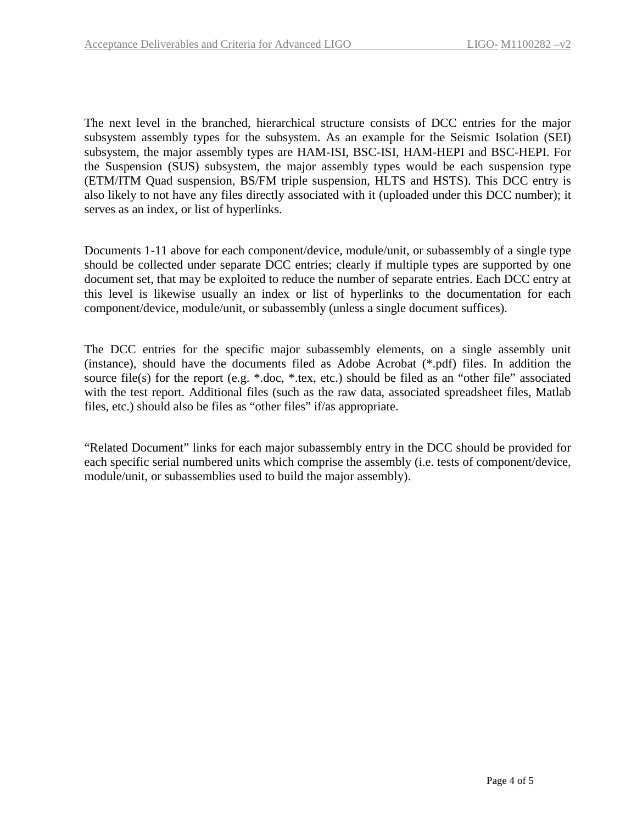The next level in the branched, hierarchical structure consists of DCC entries for the major subsystem assembly types for the subsystem. As an example for the Seismic Isolation (SEI) subsystem, the major assembly types are HAM-ISI, BSC-ISI, HAM-HEPI and BSC-HEPI. For the Suspension (SUS) subsystem, the major assembly types would be each suspension type (ETM/ITM Quad suspension, BS/FM triple suspension, HLTS and HSTS). This DCC entry is also likely to not have any files directly associated with it (uploaded under this DCC number); it serves as an index, or list of hyperlinks.

Documents 1-11 above for each component/device, module/unit, or subassembly of a single type should be collected under separate DCC entries; clearly if multiple types are supported by one document set, that may be exploited to reduce the number of separate entries. Each DCC entry at this level is likewise usually an index or list of hyperlinks to the documentation for each component/device, module/unit, or subassembly (unless a single document suffices).

The DCC entries for the specific major subassembly elements, on a single assembly unit (instance), should have the documents filed as Adobe Acrobat (\*.pdf) files. In addition the source file(s) for the report (e.g. \*.doc, \*.tex, etc.) should be filed as an "other file" associated with the test report. Additional files (such as the raw data, associated spreadsheet files, Matlab files, etc.) should also be files as "other files" if/as appropriate.

"Related Document" links for each major subassembly entry in the DCC should be provided for each specific serial numbered units which comprise the assembly (i.e. tests of component/device, module/unit, or subassemblies used to build the major assembly).